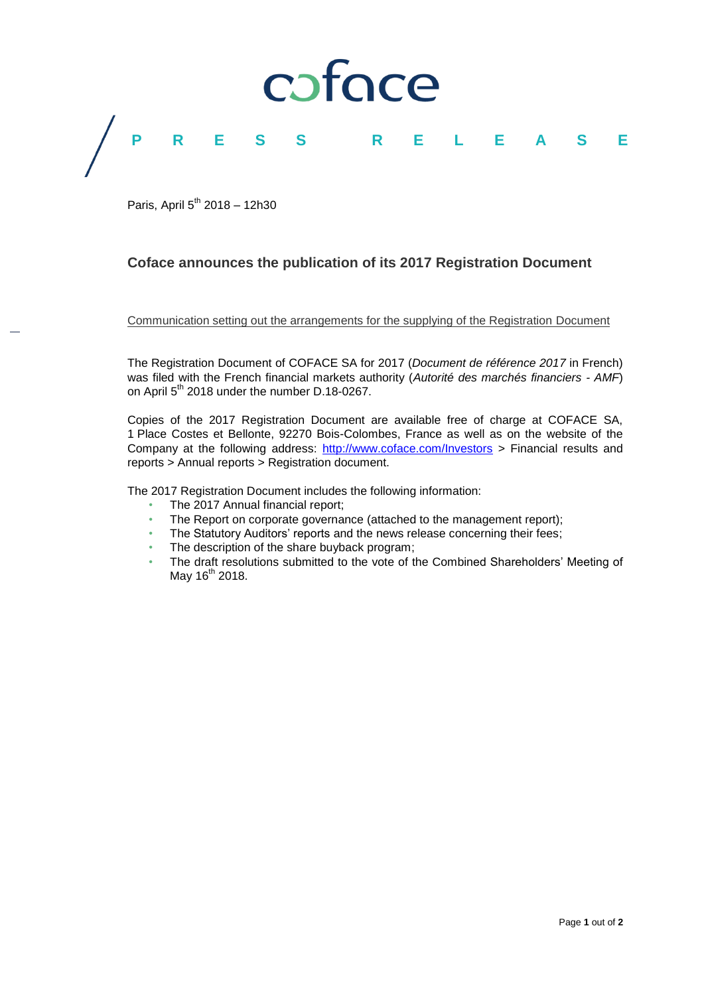

Paris, April 5<sup>th</sup> 2018 - 12h30

## **Coface announces the publication of its 2017 Registration Document**

Communication setting out the arrangements for the supplying of the Registration Document

The Registration Document of COFACE SA for 2017 (*Document de référence 2017* in French) was filed with the French financial markets authority (*Autorité des marchés financiers - AMF*) on April 5<sup>th</sup> 2018 under the number D.18-0267.

Copies of the 2017 Registration Document are available free of charge at COFACE SA, 1 Place Costes et Bellonte, 92270 Bois-Colombes, France as well as on the website of the Company at the following address: <http://www.coface.com/Investors> > Financial results and reports > Annual reports > Registration document.

The 2017 Registration Document includes the following information:

- The 2017 Annual financial report;
- The Report on corporate governance (attached to the management report);
- The Statutory Auditors' reports and the news release concerning their fees;
- The description of the share buyback program;
- The draft resolutions submitted to the vote of the Combined Shareholders' Meeting of May 16<sup>th</sup> 2018.